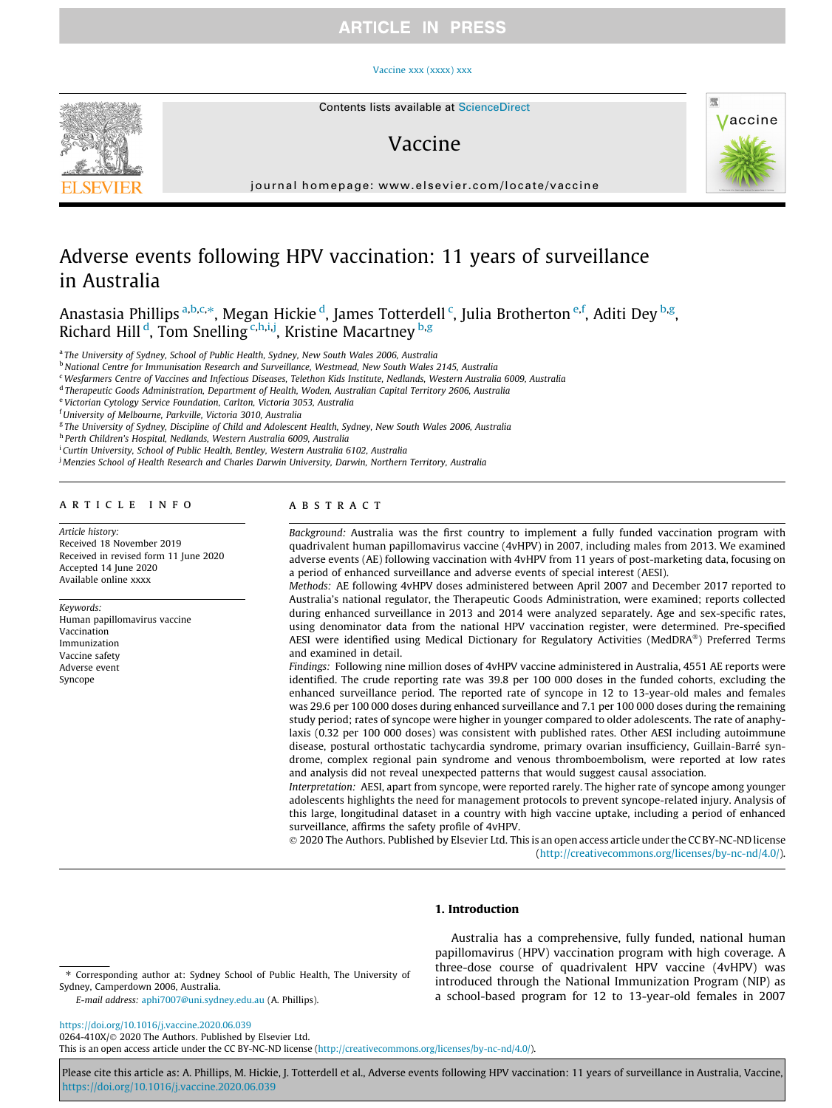#### [Vaccine xxx \(xxxx\) xxx](https://doi.org/10.1016/j.vaccine.2020.06.039)

<span id="page-0-0"></span>

## Vaccine



journal homepage: [www.elsevier.com/locate/vaccine](http://www.elsevier.com/locate/vaccine)

# Adverse events following HPV vaccination: 11 years of surveillance in Australia

Anastasia Phillips <sup>a,b,c,</sup>\*, Megan Hickie <sup>d</sup>, James Totterdell <sup>c</sup>, Julia Brotherton <sup>e,f</sup>, Aditi Dey <sup>b,g</sup>, Richard Hill<sup>d</sup>, Tom Snelling <sup>c,h,i,j</sup>, Kristine Macartney <sup>b,g</sup>

<sup>a</sup> The University of Sydney, School of Public Health, Sydney, New South Wales 2006, Australia

b National Centre for Immunisation Research and Surveillance, Westmead, New South Wales 2145, Australia

<sup>c</sup>Wesfarmers Centre of Vaccines and Infectious Diseases, Telethon Kids Institute, Nedlands, Western Australia 6009, Australia

<sup>d</sup> Therapeutic Goods Administration, Department of Health, Woden, Australian Capital Territory 2606, Australia

<sup>e</sup> Victorian Cytology Service Foundation, Carlton, Victoria 3053, Australia

<sup>f</sup> University of Melbourne, Parkville, Victoria 3010, Australia

<sup>g</sup> The University of Sydney, Discipline of Child and Adolescent Health, Sydney, New South Wales 2006, Australia

<sup>h</sup> Perth Children's Hospital, Nedlands, Western Australia 6009, Australia

<sup>i</sup> Curtin University, School of Public Health, Bentley, Western Australia 6102, Australia

<sup>j</sup> Menzies School of Health Research and Charles Darwin University, Darwin, Northern Territory, Australia

## article info

Article history: Received 18 November 2019 Received in revised form 11 June 2020 Accepted 14 June 2020 Available online xxxx

Keywords: Human papillomavirus vaccine Vaccination Immunization Vaccine safety Adverse event Syncope

## ABSTRACT

Background: Australia was the first country to implement a fully funded vaccination program with quadrivalent human papillomavirus vaccine (4vHPV) in 2007, including males from 2013. We examined adverse events (AE) following vaccination with 4vHPV from 11 years of post-marketing data, focusing on a period of enhanced surveillance and adverse events of special interest (AESI).

Methods: AE following 4vHPV doses administered between April 2007 and December 2017 reported to Australia's national regulator, the Therapeutic Goods Administration, were examined; reports collected during enhanced surveillance in 2013 and 2014 were analyzed separately. Age and sex-specific rates, using denominator data from the national HPV vaccination register, were determined. Pre-specified AESI were identified using Medical Dictionary for Regulatory Activities (MedDRA®) Preferred Terms and examined in detail.

Findings: Following nine million doses of 4vHPV vaccine administered in Australia, 4551 AE reports were identified. The crude reporting rate was 39.8 per 100 000 doses in the funded cohorts, excluding the enhanced surveillance period. The reported rate of syncope in 12 to 13-year-old males and females was 29.6 per 100 000 doses during enhanced surveillance and 7.1 per 100 000 doses during the remaining study period; rates of syncope were higher in younger compared to older adolescents. The rate of anaphylaxis (0.32 per 100 000 doses) was consistent with published rates. Other AESI including autoimmune disease, postural orthostatic tachycardia syndrome, primary ovarian insufficiency, Guillain-Barré syndrome, complex regional pain syndrome and venous thromboembolism, were reported at low rates and analysis did not reveal unexpected patterns that would suggest causal association.

Interpretation: AESI, apart from syncope, were reported rarely. The higher rate of syncope among younger adolescents highlights the need for management protocols to prevent syncope-related injury. Analysis of this large, longitudinal dataset in a country with high vaccine uptake, including a period of enhanced surveillance, affirms the safety profile of 4vHPV.

 2020 The Authors. Published by Elsevier Ltd. This is an open access article under the CC BY-NC-ND license (<http://creativecommons.org/licenses/by-nc-nd/4.0/>).

## 1. Introduction

⇑ Corresponding author at: Sydney School of Public Health, The University of Sydney, Camperdown 2006, Australia.

E-mail address: [aphi7007@uni.sydney.edu.au](mailto:aphi7007@uni.sydney.edu.au) (A. Phillips).

<https://doi.org/10.1016/j.vaccine.2020.06.039> 0264-410X/ 2020 The Authors. Published by Elsevier Ltd.

This is an open access article under the CC BY-NC-ND license ([http://creativecommons.org/licenses/by-nc-nd/4.0/\)](http://creativecommons.org/licenses/by-nc-nd/4.0/).

Please cite this article as: A. Phillips, M. Hickie, J. Totterdell et al., Adverse events following HPV vaccination: 11 years of surveillance in Australia, Vaccine, <https://doi.org/10.1016/j.vaccine.2020.06.039>

Australia has a comprehensive, fully funded, national human papillomavirus (HPV) vaccination program with high coverage. A three-dose course of quadrivalent HPV vaccine (4vHPV) was introduced through the National Immunization Program (NIP) as a school-based program for 12 to 13-year-old females in 2007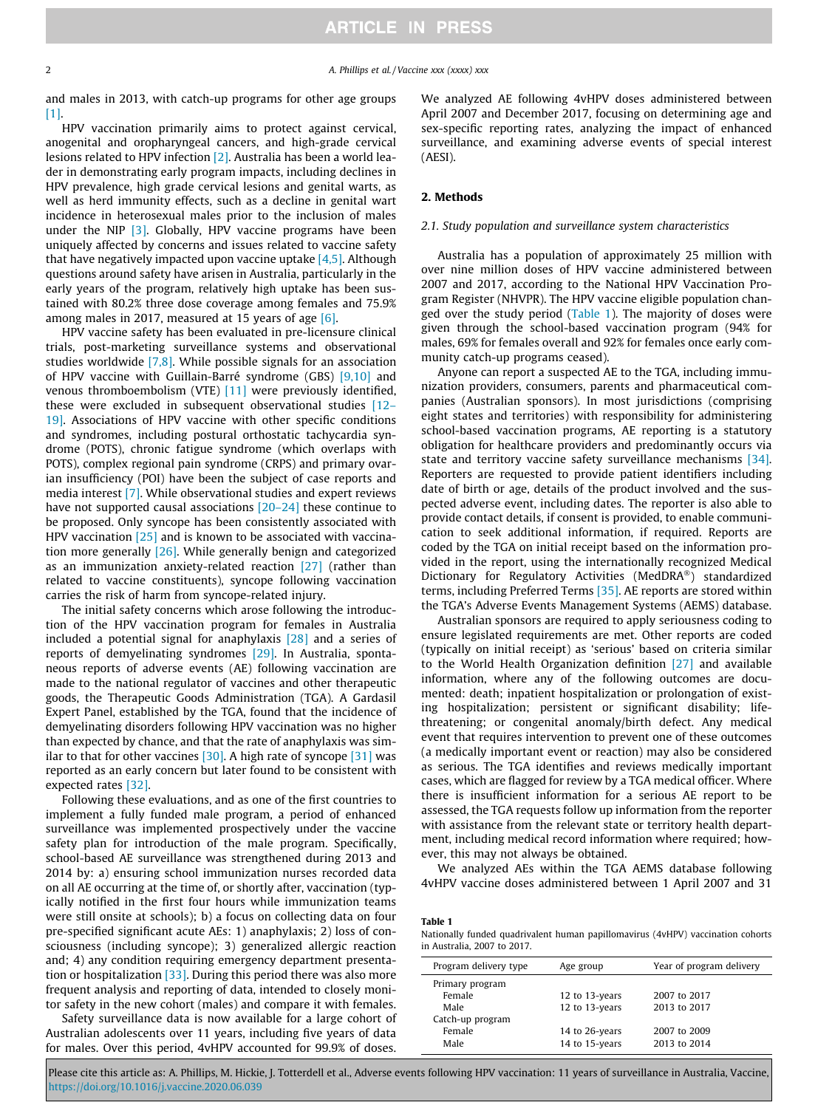<span id="page-1-0"></span>2 **A. Phillips et al. / Vaccine xxx (xxxx) xxx** 

and males in 2013, with catch-up programs for other age groups [\[1\]](#page-7-0).

HPV vaccination primarily aims to protect against cervical, anogenital and oropharyngeal cancers, and high-grade cervical lesions related to HPV infection [\[2\].](#page-7-0) Australia has been a world leader in demonstrating early program impacts, including declines in HPV prevalence, high grade cervical lesions and genital warts, as well as herd immunity effects, such as a decline in genital wart incidence in heterosexual males prior to the inclusion of males under the NIP  $\left[3\right]$ . Globally, HPV vaccine programs have been uniquely affected by concerns and issues related to vaccine safety that have negatively impacted upon vaccine uptake  $[4,5]$ . Although questions around safety have arisen in Australia, particularly in the early years of the program, relatively high uptake has been sustained with 80.2% three dose coverage among females and 75.9% among males in 2017, measured at 15 years of age [\[6\]](#page-7-0).

HPV vaccine safety has been evaluated in pre-licensure clinical trials, post-marketing surveillance systems and observational studies worldwide [\[7,8\]](#page-7-0). While possible signals for an association of HPV vaccine with Guillain-Barré syndrome (GBS) [\[9,10\]](#page-7-0) and venous thromboembolism (VTE) [\[11\]](#page-7-0) were previously identified, these were excluded in subsequent observational studies [\[12–](#page-7-0) [19\]](#page-7-0). Associations of HPV vaccine with other specific conditions and syndromes, including postural orthostatic tachycardia syndrome (POTS), chronic fatigue syndrome (which overlaps with POTS), complex regional pain syndrome (CRPS) and primary ovarian insufficiency (POI) have been the subject of case reports and media interest [\[7\]](#page-7-0). While observational studies and expert reviews have not supported causal associations [\[20–24\]](#page-7-0) these continue to be proposed. Only syncope has been consistently associated with HPV vaccination  $[25]$  and is known to be associated with vaccination more generally [\[26\].](#page-7-0) While generally benign and categorized as an immunization anxiety-related reaction [\[27\]](#page-7-0) (rather than related to vaccine constituents), syncope following vaccination carries the risk of harm from syncope-related injury.

The initial safety concerns which arose following the introduction of the HPV vaccination program for females in Australia included a potential signal for anaphylaxis [\[28\]](#page-7-0) and a series of reports of demyelinating syndromes [\[29\]](#page-7-0). In Australia, spontaneous reports of adverse events (AE) following vaccination are made to the national regulator of vaccines and other therapeutic goods, the Therapeutic Goods Administration (TGA). A Gardasil Expert Panel, established by the TGA, found that the incidence of demyelinating disorders following HPV vaccination was no higher than expected by chance, and that the rate of anaphylaxis was similar to that for other vaccines  $[30]$ . A high rate of syncope  $[31]$  was reported as an early concern but later found to be consistent with expected rates [\[32\]](#page-7-0).

Following these evaluations, and as one of the first countries to implement a fully funded male program, a period of enhanced surveillance was implemented prospectively under the vaccine safety plan for introduction of the male program. Specifically, school-based AE surveillance was strengthened during 2013 and 2014 by: a) ensuring school immunization nurses recorded data on all AE occurring at the time of, or shortly after, vaccination (typically notified in the first four hours while immunization teams were still onsite at schools); b) a focus on collecting data on four pre-specified significant acute AEs: 1) anaphylaxis; 2) loss of consciousness (including syncope); 3) generalized allergic reaction and; 4) any condition requiring emergency department presentation or hospitalization  $[33]$ . During this period there was also more frequent analysis and reporting of data, intended to closely monitor safety in the new cohort (males) and compare it with females.

Safety surveillance data is now available for a large cohort of Australian adolescents over 11 years, including five years of data for males. Over this period, 4vHPV accounted for 99.9% of doses.

We analyzed AE following 4vHPV doses administered between April 2007 and December 2017, focusing on determining age and sex-specific reporting rates, analyzing the impact of enhanced surveillance, and examining adverse events of special interest (AESI).

## 2. Methods

## 2.1. Study population and surveillance system characteristics

Australia has a population of approximately 25 million with over nine million doses of HPV vaccine administered between 2007 and 2017, according to the National HPV Vaccination Program Register (NHVPR). The HPV vaccine eligible population changed over the study period (Table 1). The majority of doses were given through the school-based vaccination program (94% for males, 69% for females overall and 92% for females once early community catch-up programs ceased).

Anyone can report a suspected AE to the TGA, including immunization providers, consumers, parents and pharmaceutical companies (Australian sponsors). In most jurisdictions (comprising eight states and territories) with responsibility for administering school-based vaccination programs, AE reporting is a statutory obligation for healthcare providers and predominantly occurs via state and territory vaccine safety surveillance mechanisms [\[34\].](#page-7-0) Reporters are requested to provide patient identifiers including date of birth or age, details of the product involved and the suspected adverse event, including dates. The reporter is also able to provide contact details, if consent is provided, to enable communication to seek additional information, if required. Reports are coded by the TGA on initial receipt based on the information provided in the report, using the internationally recognized Medical Dictionary for Regulatory Activities (MedDRA®) standardized terms, including Preferred Terms [\[35\].](#page-7-0) AE reports are stored within the TGA's Adverse Events Management Systems (AEMS) database.

Australian sponsors are required to apply seriousness coding to ensure legislated requirements are met. Other reports are coded (typically on initial receipt) as 'serious' based on criteria similar to the World Health Organization definition [\[27\]](#page-7-0) and available information, where any of the following outcomes are documented: death; inpatient hospitalization or prolongation of existing hospitalization; persistent or significant disability; lifethreatening; or congenital anomaly/birth defect. Any medical event that requires intervention to prevent one of these outcomes (a medically important event or reaction) may also be considered as serious. The TGA identifies and reviews medically important cases, which are flagged for review by a TGA medical officer. Where there is insufficient information for a serious AE report to be assessed, the TGA requests follow up information from the reporter with assistance from the relevant state or territory health department, including medical record information where required; however, this may not always be obtained.

We analyzed AEs within the TGA AEMS database following 4vHPV vaccine doses administered between 1 April 2007 and 31

Table 1

Nationally funded quadrivalent human papillomavirus (4vHPV) vaccination cohorts in Australia, 2007 to 2017.

| Program delivery type | Age group      | Year of program delivery |
|-----------------------|----------------|--------------------------|
| Primary program       |                |                          |
| Female                | 12 to 13-years | 2007 to 2017             |
| Male                  | 12 to 13-years | 2013 to 2017             |
| Catch-up program      |                |                          |
| Female                | 14 to 26-years | 2007 to 2009             |
| Male                  | 14 to 15-years | 2013 to 2014             |
|                       |                |                          |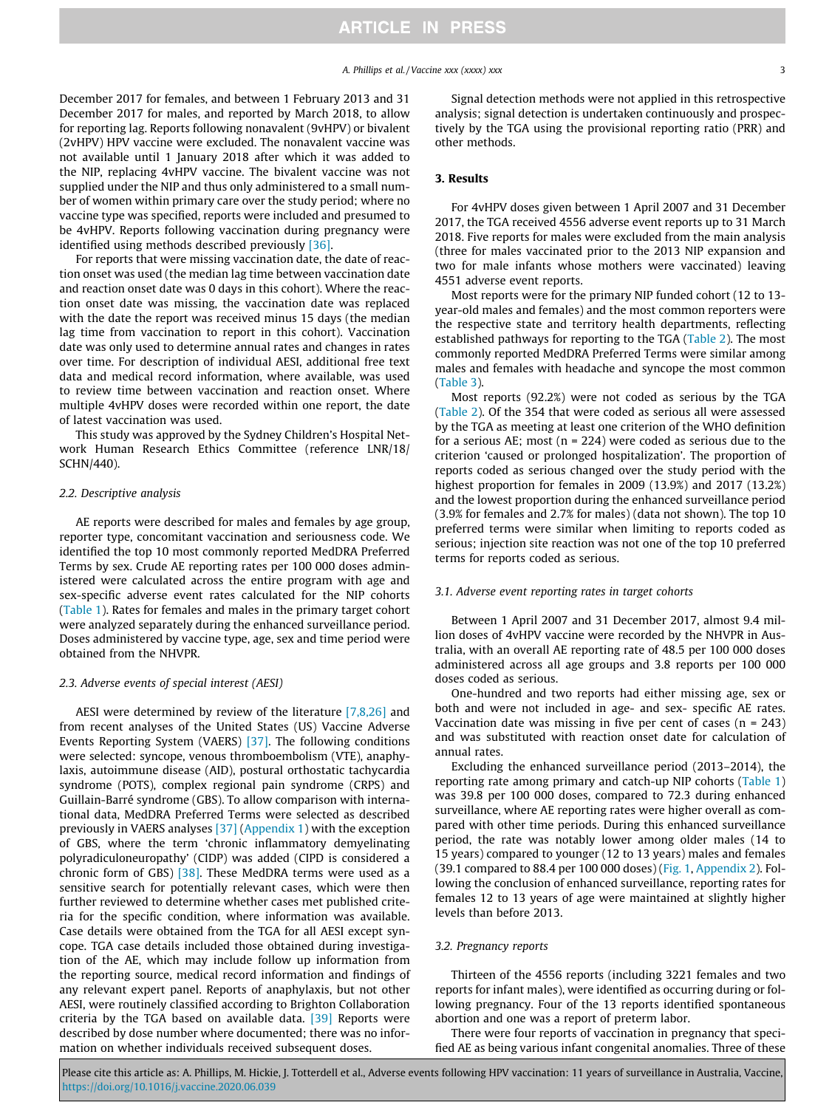## A. Phillips et al. / Vaccine xxx (xxxx) xxx 3

<span id="page-2-0"></span>December 2017 for females, and between 1 February 2013 and 31 December 2017 for males, and reported by March 2018, to allow for reporting lag. Reports following nonavalent (9vHPV) or bivalent (2vHPV) HPV vaccine were excluded. The nonavalent vaccine was not available until 1 January 2018 after which it was added to the NIP, replacing 4vHPV vaccine. The bivalent vaccine was not supplied under the NIP and thus only administered to a small number of women within primary care over the study period; where no vaccine type was specified, reports were included and presumed to be 4vHPV. Reports following vaccination during pregnancy were identified using methods described previously [\[36\].](#page-7-0)

For reports that were missing vaccination date, the date of reaction onset was used (the median lag time between vaccination date and reaction onset date was 0 days in this cohort). Where the reaction onset date was missing, the vaccination date was replaced with the date the report was received minus 15 days (the median lag time from vaccination to report in this cohort). Vaccination date was only used to determine annual rates and changes in rates over time. For description of individual AESI, additional free text data and medical record information, where available, was used to review time between vaccination and reaction onset. Where multiple 4vHPV doses were recorded within one report, the date of latest vaccination was used.

This study was approved by the Sydney Children's Hospital Network Human Research Ethics Committee (reference LNR/18/ SCHN/440).

## 2.2. Descriptive analysis

AE reports were described for males and females by age group, reporter type, concomitant vaccination and seriousness code. We identified the top 10 most commonly reported MedDRA Preferred Terms by sex. Crude AE reporting rates per 100 000 doses administered were calculated across the entire program with age and sex-specific adverse event rates calculated for the NIP cohorts ([Table 1\)](#page-1-0). Rates for females and males in the primary target cohort were analyzed separately during the enhanced surveillance period. Doses administered by vaccine type, age, sex and time period were obtained from the NHVPR.

## 2.3. Adverse events of special interest (AESI)

AESI were determined by review of the literature [\[7,8,26\]](#page-7-0) and from recent analyses of the United States (US) Vaccine Adverse Events Reporting System (VAERS) [\[37\]](#page-7-0). The following conditions were selected: syncope, venous thromboembolism (VTE), anaphylaxis, autoimmune disease (AID), postural orthostatic tachycardia syndrome (POTS), complex regional pain syndrome (CRPS) and Guillain-Barré syndrome (GBS). To allow comparison with international data, MedDRA Preferred Terms were selected as described previously in VAERS analyses [\[37\]](#page-7-0) ([Appendix 1\)](#page-0-0) with the exception of GBS, where the term 'chronic inflammatory demyelinating polyradiculoneuropathy' (CIDP) was added (CIPD is considered a chronic form of GBS)  $[38]$ . These MedDRA terms were used as a sensitive search for potentially relevant cases, which were then further reviewed to determine whether cases met published criteria for the specific condition, where information was available. Case details were obtained from the TGA for all AESI except syncope. TGA case details included those obtained during investigation of the AE, which may include follow up information from the reporting source, medical record information and findings of any relevant expert panel. Reports of anaphylaxis, but not other AESI, were routinely classified according to Brighton Collaboration criteria by the TGA based on available data. [\[39\]](#page-7-0) Reports were described by dose number where documented; there was no information on whether individuals received subsequent doses.

Signal detection methods were not applied in this retrospective analysis; signal detection is undertaken continuously and prospectively by the TGA using the provisional reporting ratio (PRR) and other methods.

## 3. Results

For 4vHPV doses given between 1 April 2007 and 31 December 2017, the TGA received 4556 adverse event reports up to 31 March 2018. Five reports for males were excluded from the main analysis (three for males vaccinated prior to the 2013 NIP expansion and two for male infants whose mothers were vaccinated) leaving 4551 adverse event reports.

Most reports were for the primary NIP funded cohort (12 to 13 year-old males and females) and the most common reporters were the respective state and territory health departments, reflecting established pathways for reporting to the TGA [\(Table 2](#page-3-0)). The most commonly reported MedDRA Preferred Terms were similar among males and females with headache and syncope the most common ([Table 3\)](#page-3-0).

Most reports (92.2%) were not coded as serious by the TGA ([Table 2](#page-3-0)). Of the 354 that were coded as serious all were assessed by the TGA as meeting at least one criterion of the WHO definition for a serious AE; most  $(n = 224)$  were coded as serious due to the criterion 'caused or prolonged hospitalization'. The proportion of reports coded as serious changed over the study period with the highest proportion for females in 2009 (13.9%) and 2017 (13.2%) and the lowest proportion during the enhanced surveillance period (3.9% for females and 2.7% for males) (data not shown). The top 10 preferred terms were similar when limiting to reports coded as serious; injection site reaction was not one of the top 10 preferred terms for reports coded as serious.

## 3.1. Adverse event reporting rates in target cohorts

Between 1 April 2007 and 31 December 2017, almost 9.4 million doses of 4vHPV vaccine were recorded by the NHVPR in Australia, with an overall AE reporting rate of 48.5 per 100 000 doses administered across all age groups and 3.8 reports per 100 000 doses coded as serious.

One-hundred and two reports had either missing age, sex or both and were not included in age- and sex- specific AE rates. Vaccination date was missing in five per cent of cases  $(n = 243)$ and was substituted with reaction onset date for calculation of annual rates.

Excluding the enhanced surveillance period (2013–2014), the reporting rate among primary and catch-up NIP cohorts ([Table 1\)](#page-1-0) was 39.8 per 100 000 doses, compared to 72.3 during enhanced surveillance, where AE reporting rates were higher overall as compared with other time periods. During this enhanced surveillance period, the rate was notably lower among older males (14 to 15 years) compared to younger (12 to 13 years) males and females (39.1 compared to 88.4 per 100 000 doses) [\(Fig. 1,](#page-3-0) [Appendix 2](#page-1-0)). Following the conclusion of enhanced surveillance, reporting rates for females 12 to 13 years of age were maintained at slightly higher levels than before 2013.

## 3.2. Pregnancy reports

Thirteen of the 4556 reports (including 3221 females and two reports for infant males), were identified as occurring during or following pregnancy. Four of the 13 reports identified spontaneous abortion and one was a report of preterm labor.

There were four reports of vaccination in pregnancy that specified AE as being various infant congenital anomalies. Three of these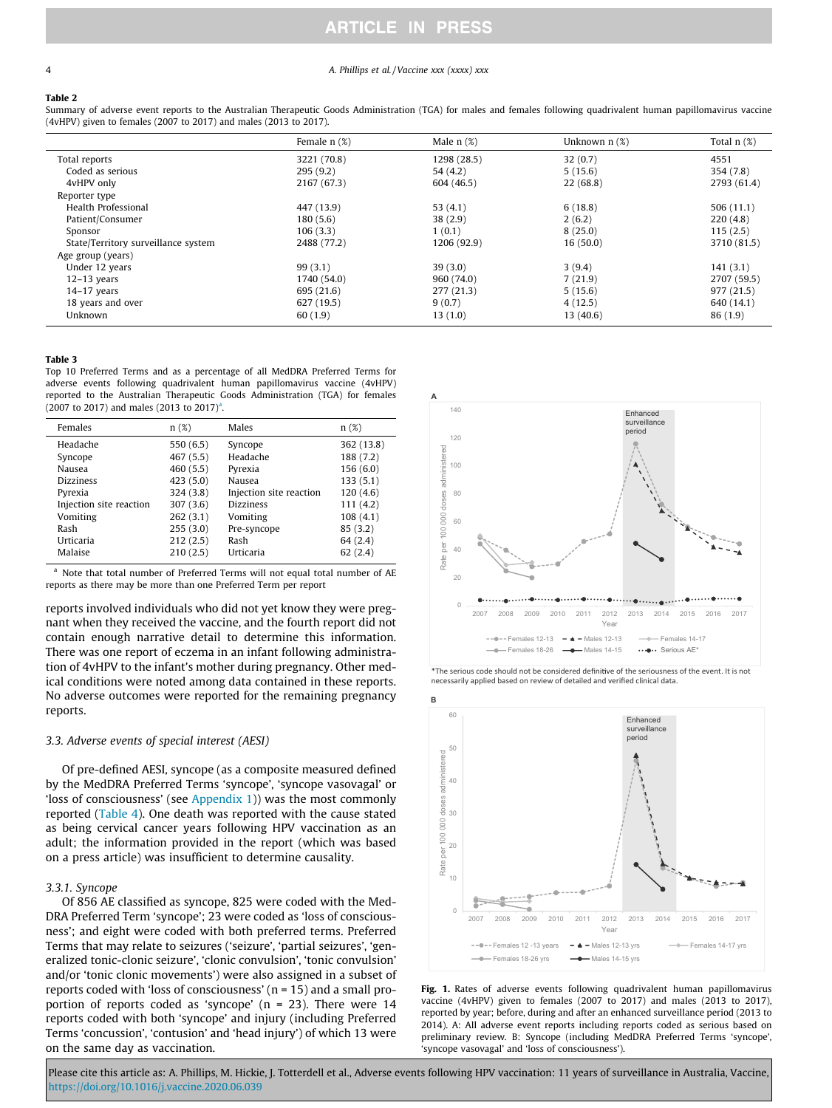#### <span id="page-3-0"></span>4 **A. Phillips et al. / Vaccine xxx (xxxx) xxx**

#### Table 2

Summary of adverse event reports to the Australian Therapeutic Goods Administration (TGA) for males and females following quadrivalent human papillomavirus vaccine (4vHPV) given to females (2007 to 2017) and males (2013 to 2017).

|                                     | Female $n$ $(\%)$ | Male $n$ $(\%)$ | Unknown $n$ $(\%)$ | Total $n$ $(\%)$ |
|-------------------------------------|-------------------|-----------------|--------------------|------------------|
| Total reports                       | 3221 (70.8)       | 1298 (28.5)     | 32(0.7)            | 4551             |
| Coded as serious                    | 295(9.2)          | 54(4.2)         | 5(15.6)            | 354 (7.8)        |
| 4vHPV only                          | 2167 (67.3)       | 604 (46.5)      | 22(68.8)           | 2793 (61.4)      |
| Reporter type                       |                   |                 |                    |                  |
| Health Professional                 | 447 (13.9)        | 53 $(4.1)$      | 6(18.8)            | 506(11.1)        |
| Patient/Consumer                    | 180(5.6)          | 38(2.9)         | 2(6.2)             | 220(4.8)         |
| Sponsor                             | 106(3.3)          | 1(0.1)          | 8(25.0)            | 115(2.5)         |
| State/Territory surveillance system | 2488 (77.2)       | 1206 (92.9)     | 16(50.0)           | 3710 (81.5)      |
| Age group (years)                   |                   |                 |                    |                  |
| Under 12 years                      | 99(3,1)           | 39(3.0)         | 3(9.4)             | 141(3.1)         |
| $12-13$ years                       | 1740 (54.0)       | 960 (74.0)      | 7(21.9)            | 2707 (59.5)      |
| $14-17$ years                       | 695 (21.6)        | 277(21.3)       | 5(15.6)            | 977 (21.5)       |
| 18 years and over                   | 627 (19.5)        | 9(0.7)          | 4(12.5)            | 640 (14.1)       |
| Unknown                             | 60 (1.9)          | 13(1.0)         | 13(40.6)           | 86(1.9)          |

#### Table 3

Top 10 Preferred Terms and as a percentage of all MedDRA Preferred Terms for adverse events following quadrivalent human papillomavirus vaccine (4vHPV) reported to the Australian Therapeutic Goods Administration (TGA) for females  $(2007 \text{ to } 2017)$  and males  $(2013 \text{ to } 2017)^3$ .

| Females                 | n(%)      | Males                   | n(%)       |
|-------------------------|-----------|-------------------------|------------|
| Headache                | 550(6.5)  | Syncope                 | 362 (13.8) |
| Syncope                 | 467 (5.5) | Headache                | 188 (7.2)  |
| Nausea                  | 460(5.5)  | Pyrexia                 | 156(6.0)   |
| <b>Dizziness</b>        | 423(5.0)  | Nausea                  | 133(5.1)   |
| Pyrexia                 | 324(3.8)  | Injection site reaction | 120(4.6)   |
| Injection site reaction | 307(3.6)  | <b>Dizziness</b>        | 111(4.2)   |
| Vomiting                | 262(3.1)  | Vomiting                | 108(4.1)   |
| Rash                    | 255(3.0)  | Pre-syncope             | 85(3.2)    |
| Urticaria               | 212(2.5)  | Rash                    | 64 (2.4)   |
| Malaise                 | 210(2.5)  | Urticaria               | 62(2.4)    |

<sup>a</sup> Note that total number of Preferred Terms will not equal total number of AE reports as there may be more than one Preferred Term per report

reports involved individuals who did not yet know they were pregnant when they received the vaccine, and the fourth report did not contain enough narrative detail to determine this information. There was one report of eczema in an infant following administration of 4vHPV to the infant's mother during pregnancy. Other medical conditions were noted among data contained in these reports. No adverse outcomes were reported for the remaining pregnancy reports.

#### 3.3. Adverse events of special interest (AESI)

Of pre-defined AESI, syncope (as a composite measured defined by the MedDRA Preferred Terms 'syncope', 'syncope vasovagal' or 'loss of consciousness' (see [Appendix 1\)](#page-0-0)) was the most commonly reported [\(Table 4\)](#page-4-0). One death was reported with the cause stated as being cervical cancer years following HPV vaccination as an adult; the information provided in the report (which was based on a press article) was insufficient to determine causality.

#### 3.3.1. Syncope

Of 856 AE classified as syncope, 825 were coded with the Med-DRA Preferred Term 'syncope'; 23 were coded as 'loss of consciousness'; and eight were coded with both preferred terms. Preferred Terms that may relate to seizures ('seizure', 'partial seizures', 'generalized tonic-clonic seizure', 'clonic convulsion', 'tonic convulsion' and/or 'tonic clonic movements') were also assigned in a subset of reports coded with 'loss of consciousness' (n = 15) and a small proportion of reports coded as 'syncope' (n = 23). There were 14 reports coded with both 'syncope' and injury (including Preferred Terms 'concussion', 'contusion' and 'head injury') of which 13 were on the same day as vaccination.



\*The serious code should not be considered definitive of the seriousness of the event. It is not necessarily applied based on review of detailed and verified clinical data.



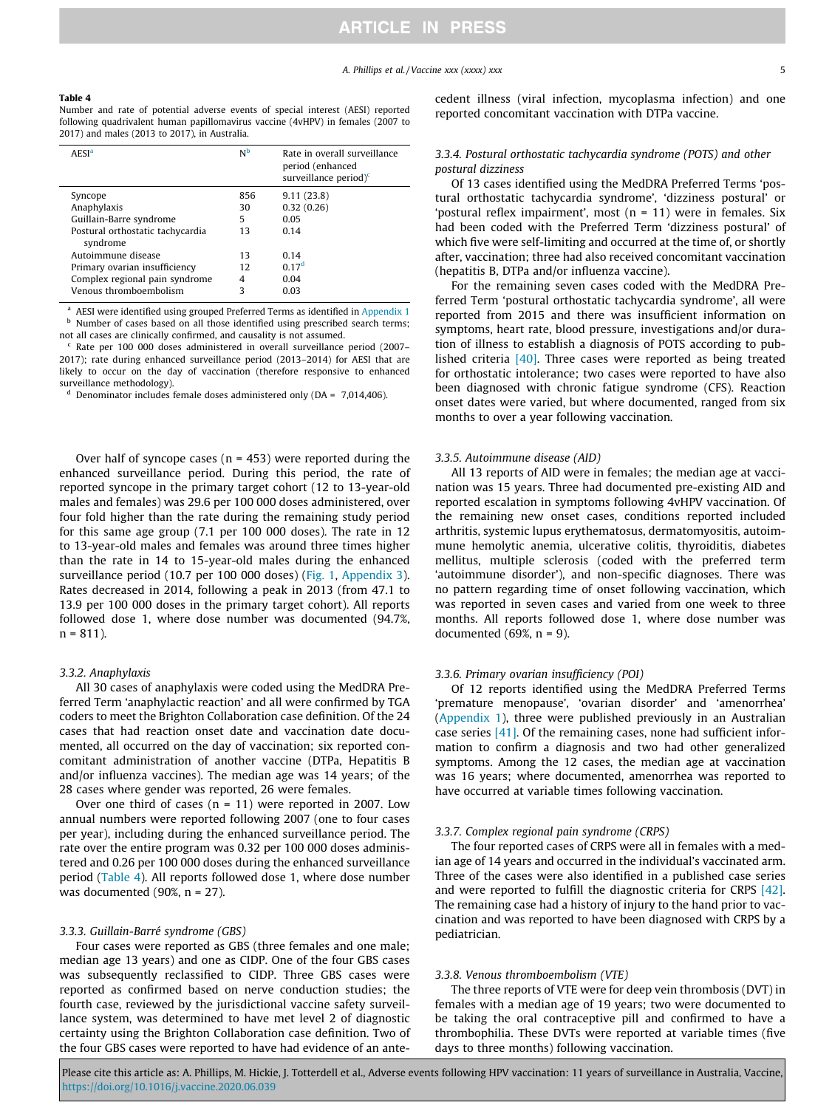#### <span id="page-4-0"></span>Table 4

Number and rate of potential adverse events of special interest (AESI) reported following quadrivalent human papillomavirus vaccine (4vHPV) in females (2007 to 2017) and males (2013 to 2017), in Australia.

| <b>AESI<sup>a</sup></b>                      | N <sub>b</sub> | Rate in overall surveillance<br>period (enhanced<br>surveillance period) $\epsilon$ |
|----------------------------------------------|----------------|-------------------------------------------------------------------------------------|
| Syncope                                      | 856            | 9.11(23.8)                                                                          |
| Anaphylaxis                                  | 30             | 0.32(0.26)                                                                          |
| Guillain-Barre syndrome                      | 5              | 0.05                                                                                |
| Postural orthostatic tachycardia<br>syndrome | 13             | 0.14                                                                                |
| Autoimmune disease                           | 13             | 0.14                                                                                |
| Primary ovarian insufficiency                | 12             | 0.17 <sup>d</sup>                                                                   |
| Complex regional pain syndrome               | 4              | 0.04                                                                                |
| Venous thromboembolism                       | 3              | 0.03                                                                                |

<sup>a</sup> AESI were identified using grouped Preferred Terms as identified in [Appendix 1](#page-0-0) **b** Number of cases based on all those identified using prescribed search terms; not all cases are clinically confirmed, and causality is not assumed.

Rate per 100 000 doses administered in overall surveillance period (2007– 2017); rate during enhanced surveillance period (2013–2014) for AESI that are likely to occur on the day of vaccination (therefore responsive to enhanced surveillance methodology).

Denominator includes female doses administered only ( $DA = 7,014,406$ ).

Over half of syncope cases ( $n = 453$ ) were reported during the enhanced surveillance period. During this period, the rate of reported syncope in the primary target cohort (12 to 13-year-old males and females) was 29.6 per 100 000 doses administered, over four fold higher than the rate during the remaining study period for this same age group (7.1 per 100 000 doses). The rate in 12 to 13-year-old males and females was around three times higher than the rate in 14 to 15-year-old males during the enhanced surveillance period (10.7 per 100 000 doses) [\(Fig. 1](#page-3-0), [Appendix 3\)](#page-2-0). Rates decreased in 2014, following a peak in 2013 (from 47.1 to 13.9 per 100 000 doses in the primary target cohort). All reports followed dose 1, where dose number was documented (94.7%,  $n = 811$ ).

## 3.3.2. Anaphylaxis

All 30 cases of anaphylaxis were coded using the MedDRA Preferred Term 'anaphylactic reaction' and all were confirmed by TGA coders to meet the Brighton Collaboration case definition. Of the 24 cases that had reaction onset date and vaccination date documented, all occurred on the day of vaccination; six reported concomitant administration of another vaccine (DTPa, Hepatitis B and/or influenza vaccines). The median age was 14 years; of the 28 cases where gender was reported, 26 were females.

Over one third of cases  $(n = 11)$  were reported in 2007. Low annual numbers were reported following 2007 (one to four cases per year), including during the enhanced surveillance period. The rate over the entire program was 0.32 per 100 000 doses administered and 0.26 per 100 000 doses during the enhanced surveillance period (Table 4). All reports followed dose 1, where dose number was documented  $(90\%, n = 27)$ .

#### 3.3.3. Guillain-Barré syndrome (GBS)

Four cases were reported as GBS (three females and one male; median age 13 years) and one as CIDP. One of the four GBS cases was subsequently reclassified to CIDP. Three GBS cases were reported as confirmed based on nerve conduction studies; the fourth case, reviewed by the jurisdictional vaccine safety surveillance system, was determined to have met level 2 of diagnostic certainty using the Brighton Collaboration case definition. Two of the four GBS cases were reported to have had evidence of an antecedent illness (viral infection, mycoplasma infection) and one reported concomitant vaccination with DTPa vaccine.

## 3.3.4. Postural orthostatic tachycardia syndrome (POTS) and other postural dizziness

Of 13 cases identified using the MedDRA Preferred Terms 'postural orthostatic tachycardia syndrome', 'dizziness postural' or 'postural reflex impairment', most (n = 11) were in females. Six had been coded with the Preferred Term 'dizziness postural' of which five were self-limiting and occurred at the time of, or shortly after, vaccination; three had also received concomitant vaccination (hepatitis B, DTPa and/or influenza vaccine).

For the remaining seven cases coded with the MedDRA Preferred Term 'postural orthostatic tachycardia syndrome', all were reported from 2015 and there was insufficient information on symptoms, heart rate, blood pressure, investigations and/or duration of illness to establish a diagnosis of POTS according to published criteria [\[40\].](#page-7-0) Three cases were reported as being treated for orthostatic intolerance; two cases were reported to have also been diagnosed with chronic fatigue syndrome (CFS). Reaction onset dates were varied, but where documented, ranged from six months to over a year following vaccination.

#### 3.3.5. Autoimmune disease (AID)

All 13 reports of AID were in females; the median age at vaccination was 15 years. Three had documented pre-existing AID and reported escalation in symptoms following 4vHPV vaccination. Of the remaining new onset cases, conditions reported included arthritis, systemic lupus erythematosus, dermatomyositis, autoimmune hemolytic anemia, ulcerative colitis, thyroiditis, diabetes mellitus, multiple sclerosis (coded with the preferred term 'autoimmune disorder'), and non-specific diagnoses. There was no pattern regarding time of onset following vaccination, which was reported in seven cases and varied from one week to three months. All reports followed dose 1, where dose number was documented (69%,  $n = 9$ ).

#### 3.3.6. Primary ovarian insufficiency (POI)

Of 12 reports identified using the MedDRA Preferred Terms 'premature menopause', 'ovarian disorder' and 'amenorrhea' ([Appendix 1](#page-0-0)), three were published previously in an Australian case series [\[41\].](#page-7-0) Of the remaining cases, none had sufficient information to confirm a diagnosis and two had other generalized symptoms. Among the 12 cases, the median age at vaccination was 16 years; where documented, amenorrhea was reported to have occurred at variable times following vaccination.

#### 3.3.7. Complex regional pain syndrome (CRPS)

The four reported cases of CRPS were all in females with a median age of 14 years and occurred in the individual's vaccinated arm. Three of the cases were also identified in a published case series and were reported to fulfill the diagnostic criteria for CRPS [\[42\].](#page-7-0) The remaining case had a history of injury to the hand prior to vaccination and was reported to have been diagnosed with CRPS by a pediatrician.

## 3.3.8. Venous thromboembolism (VTE)

The three reports of VTE were for deep vein thrombosis (DVT) in females with a median age of 19 years; two were documented to be taking the oral contraceptive pill and confirmed to have a thrombophilia. These DVTs were reported at variable times (five days to three months) following vaccination.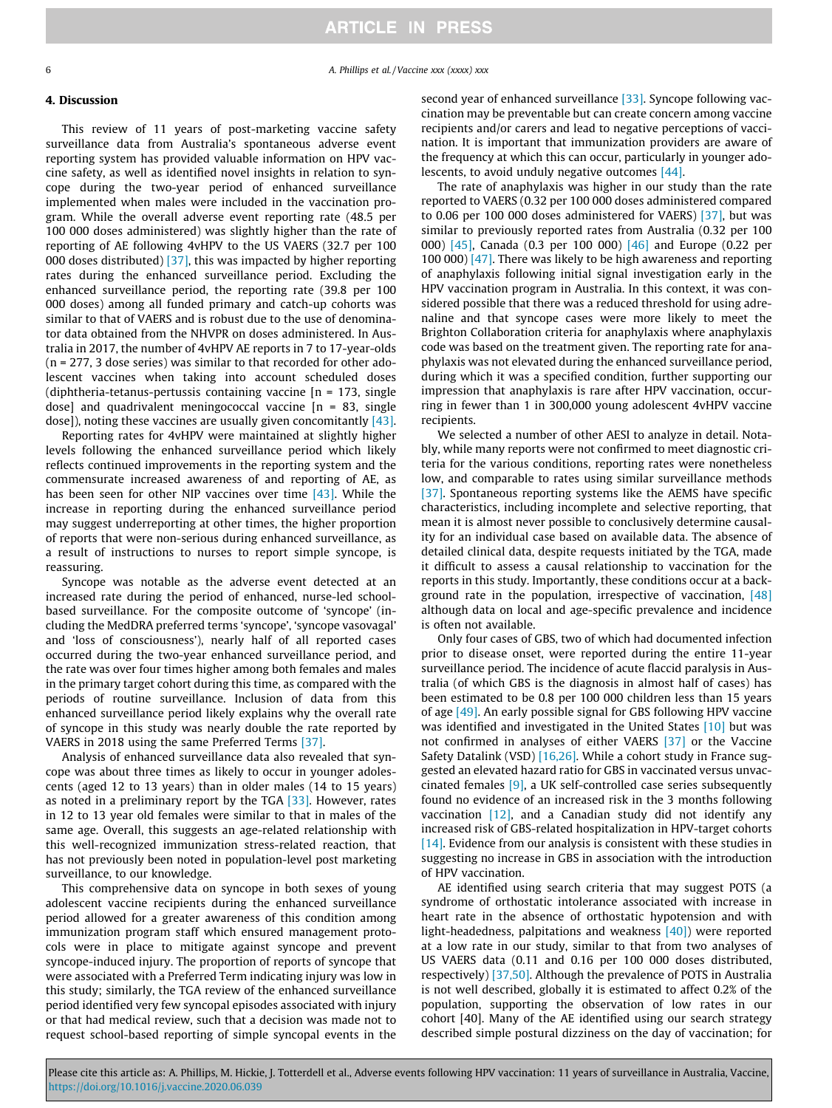6 A. Phillips et al. / Vaccine xxx (xxxx) xxx

## 4. Discussion

This review of 11 years of post-marketing vaccine safety surveillance data from Australia's spontaneous adverse event reporting system has provided valuable information on HPV vaccine safety, as well as identified novel insights in relation to syncope during the two-year period of enhanced surveillance implemented when males were included in the vaccination program. While the overall adverse event reporting rate (48.5 per 100 000 doses administered) was slightly higher than the rate of reporting of AE following 4vHPV to the US VAERS (32.7 per 100 000 doses distributed)  $\left[37\right]$ , this was impacted by higher reporting rates during the enhanced surveillance period. Excluding the enhanced surveillance period, the reporting rate (39.8 per 100 000 doses) among all funded primary and catch-up cohorts was similar to that of VAERS and is robust due to the use of denominator data obtained from the NHVPR on doses administered. In Australia in 2017, the number of 4vHPV AE reports in 7 to 17-year-olds (n = 277, 3 dose series) was similar to that recorded for other adolescent vaccines when taking into account scheduled doses (diphtheria-tetanus-pertussis containing vaccine [n = 173, single dose] and quadrivalent meningococcal vaccine  $[n = 83,$  single dose]), noting these vaccines are usually given concomitantly [\[43\].](#page-7-0)

Reporting rates for 4vHPV were maintained at slightly higher levels following the enhanced surveillance period which likely reflects continued improvements in the reporting system and the commensurate increased awareness of and reporting of AE, as has been seen for other NIP vaccines over time [\[43\].](#page-7-0) While the increase in reporting during the enhanced surveillance period may suggest underreporting at other times, the higher proportion of reports that were non-serious during enhanced surveillance, as a result of instructions to nurses to report simple syncope, is reassuring.

Syncope was notable as the adverse event detected at an increased rate during the period of enhanced, nurse-led schoolbased surveillance. For the composite outcome of 'syncope' (including the MedDRA preferred terms 'syncope', 'syncope vasovagal' and 'loss of consciousness'), nearly half of all reported cases occurred during the two-year enhanced surveillance period, and the rate was over four times higher among both females and males in the primary target cohort during this time, as compared with the periods of routine surveillance. Inclusion of data from this enhanced surveillance period likely explains why the overall rate of syncope in this study was nearly double the rate reported by VAERS in 2018 using the same Preferred Terms [\[37\]](#page-7-0).

Analysis of enhanced surveillance data also revealed that syncope was about three times as likely to occur in younger adolescents (aged 12 to 13 years) than in older males (14 to 15 years) as noted in a preliminary report by the TGA  $[33]$ . However, rates in 12 to 13 year old females were similar to that in males of the same age. Overall, this suggests an age-related relationship with this well-recognized immunization stress-related reaction, that has not previously been noted in population-level post marketing surveillance, to our knowledge.

This comprehensive data on syncope in both sexes of young adolescent vaccine recipients during the enhanced surveillance period allowed for a greater awareness of this condition among immunization program staff which ensured management protocols were in place to mitigate against syncope and prevent syncope-induced injury. The proportion of reports of syncope that were associated with a Preferred Term indicating injury was low in this study; similarly, the TGA review of the enhanced surveillance period identified very few syncopal episodes associated with injury or that had medical review, such that a decision was made not to request school-based reporting of simple syncopal events in the

second year of enhanced surveillance [\[33\].](#page-7-0) Syncope following vaccination may be preventable but can create concern among vaccine recipients and/or carers and lead to negative perceptions of vaccination. It is important that immunization providers are aware of the frequency at which this can occur, particularly in younger ado-lescents, to avoid unduly negative outcomes [\[44\].](#page-7-0)

The rate of anaphylaxis was higher in our study than the rate reported to VAERS (0.32 per 100 000 doses administered compared to 0.06 per 100 000 doses administered for VAERS) [\[37\]](#page-7-0), but was similar to previously reported rates from Australia (0.32 per 100 000) [\[45\]](#page-7-0), Canada (0.3 per 100 000) [\[46\]](#page-7-0) and Europe (0.22 per 100 000) [\[47\].](#page-7-0) There was likely to be high awareness and reporting of anaphylaxis following initial signal investigation early in the HPV vaccination program in Australia. In this context, it was considered possible that there was a reduced threshold for using adrenaline and that syncope cases were more likely to meet the Brighton Collaboration criteria for anaphylaxis where anaphylaxis code was based on the treatment given. The reporting rate for anaphylaxis was not elevated during the enhanced surveillance period, during which it was a specified condition, further supporting our impression that anaphylaxis is rare after HPV vaccination, occurring in fewer than 1 in 300,000 young adolescent 4vHPV vaccine recipients.

We selected a number of other AESI to analyze in detail. Notably, while many reports were not confirmed to meet diagnostic criteria for the various conditions, reporting rates were nonetheless low, and comparable to rates using similar surveillance methods [\[37\]](#page-7-0). Spontaneous reporting systems like the AEMS have specific characteristics, including incomplete and selective reporting, that mean it is almost never possible to conclusively determine causality for an individual case based on available data. The absence of detailed clinical data, despite requests initiated by the TGA, made it difficult to assess a causal relationship to vaccination for the reports in this study. Importantly, these conditions occur at a background rate in the population, irrespective of vaccination,  $[48]$ although data on local and age-specific prevalence and incidence is often not available.

Only four cases of GBS, two of which had documented infection prior to disease onset, were reported during the entire 11-year surveillance period. The incidence of acute flaccid paralysis in Australia (of which GBS is the diagnosis in almost half of cases) has been estimated to be 0.8 per 100 000 children less than 15 years of age [\[49\]](#page-8-0). An early possible signal for GBS following HPV vaccine was identified and investigated in the United States [\[10\]](#page-7-0) but was not confirmed in analyses of either VAERS [\[37\]](#page-7-0) or the Vaccine Safety Datalink (VSD) [\[16,26\]](#page-7-0). While a cohort study in France suggested an elevated hazard ratio for GBS in vaccinated versus unvaccinated females [\[9\]](#page-7-0), a UK self-controlled case series subsequently found no evidence of an increased risk in the 3 months following vaccination  $[12]$ , and a Canadian study did not identify any increased risk of GBS-related hospitalization in HPV-target cohorts [\[14\]](#page-7-0). Evidence from our analysis is consistent with these studies in suggesting no increase in GBS in association with the introduction of HPV vaccination.

AE identified using search criteria that may suggest POTS (a syndrome of orthostatic intolerance associated with increase in heart rate in the absence of orthostatic hypotension and with light-headedness, palpitations and weakness  $[40]$ ) were reported at a low rate in our study, similar to that from two analyses of US VAERS data (0.11 and 0.16 per 100 000 doses distributed, respectively) [\[37,50\]](#page-7-0). Although the prevalence of POTS in Australia is not well described, globally it is estimated to affect 0.2% of the population, supporting the observation of low rates in our cohort [40]. Many of the AE identified using our search strategy described simple postural dizziness on the day of vaccination; for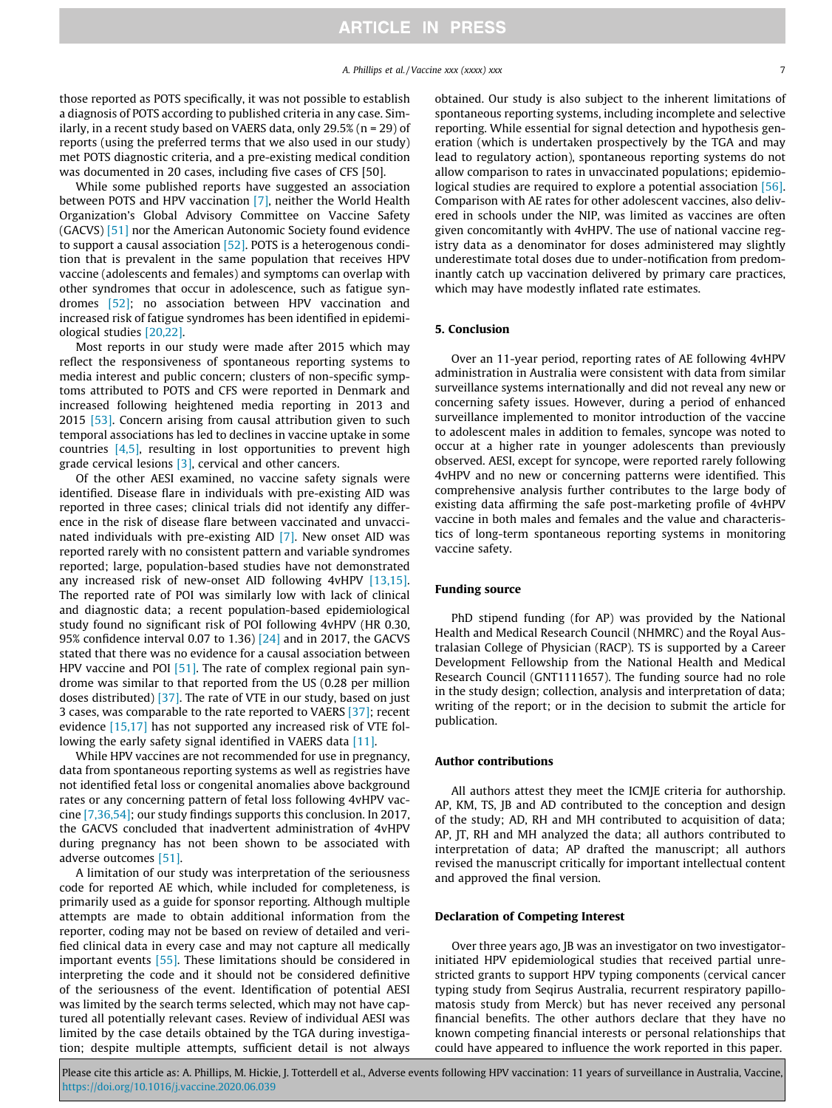those reported as POTS specifically, it was not possible to establish a diagnosis of POTS according to published criteria in any case. Similarly, in a recent study based on VAERS data, only 29.5% (n = 29) of reports (using the preferred terms that we also used in our study) met POTS diagnostic criteria, and a pre-existing medical condition was documented in 20 cases, including five cases of CFS [50].

While some published reports have suggested an association between POTS and HPV vaccination [\[7\]](#page-7-0), neither the World Health Organization's Global Advisory Committee on Vaccine Safety (GACVS) [\[51\]](#page-8-0) nor the American Autonomic Society found evidence to support a causal association [\[52\].](#page-8-0) POTS is a heterogenous condition that is prevalent in the same population that receives HPV vaccine (adolescents and females) and symptoms can overlap with other syndromes that occur in adolescence, such as fatigue syndromes [\[52\];](#page-8-0) no association between HPV vaccination and increased risk of fatigue syndromes has been identified in epidemiological studies [\[20,22\].](#page-7-0)

Most reports in our study were made after 2015 which may reflect the responsiveness of spontaneous reporting systems to media interest and public concern; clusters of non-specific symptoms attributed to POTS and CFS were reported in Denmark and increased following heightened media reporting in 2013 and 2015 [\[53\]](#page-8-0). Concern arising from causal attribution given to such temporal associations has led to declines in vaccine uptake in some countries  $[4,5]$ , resulting in lost opportunities to prevent high grade cervical lesions  $[3]$ , cervical and other cancers.

Of the other AESI examined, no vaccine safety signals were identified. Disease flare in individuals with pre-existing AID was reported in three cases; clinical trials did not identify any difference in the risk of disease flare between vaccinated and unvaccinated individuals with pre-existing AID [\[7\].](#page-7-0) New onset AID was reported rarely with no consistent pattern and variable syndromes reported; large, population-based studies have not demonstrated any increased risk of new-onset AID following 4vHPV [\[13,15\].](#page-7-0) The reported rate of POI was similarly low with lack of clinical and diagnostic data; a recent population-based epidemiological study found no significant risk of POI following 4vHPV (HR 0.30, 95% confidence interval 0.07 to 1.36) [\[24\]](#page-7-0) and in 2017, the GACVS stated that there was no evidence for a causal association between HPV vaccine and POI  $[51]$ . The rate of complex regional pain syndrome was similar to that reported from the US (0.28 per million doses distributed) [\[37\]](#page-7-0). The rate of VTE in our study, based on just 3 cases, was comparable to the rate reported to VAERS [\[37\];](#page-7-0) recent evidence [\[15,17\]](#page-7-0) has not supported any increased risk of VTE fol-lowing the early safety signal identified in VAERS data [\[11\]](#page-7-0).

While HPV vaccines are not recommended for use in pregnancy, data from spontaneous reporting systems as well as registries have not identified fetal loss or congenital anomalies above background rates or any concerning pattern of fetal loss following 4vHPV vaccine [\[7,36,54\]](#page-7-0); our study findings supports this conclusion. In 2017, the GACVS concluded that inadvertent administration of 4vHPV during pregnancy has not been shown to be associated with adverse outcomes [\[51\].](#page-8-0)

A limitation of our study was interpretation of the seriousness code for reported AE which, while included for completeness, is primarily used as a guide for sponsor reporting. Although multiple attempts are made to obtain additional information from the reporter, coding may not be based on review of detailed and verified clinical data in every case and may not capture all medically important events [\[55\].](#page-8-0) These limitations should be considered in interpreting the code and it should not be considered definitive of the seriousness of the event. Identification of potential AESI was limited by the search terms selected, which may not have captured all potentially relevant cases. Review of individual AESI was limited by the case details obtained by the TGA during investigation; despite multiple attempts, sufficient detail is not always obtained. Our study is also subject to the inherent limitations of spontaneous reporting systems, including incomplete and selective reporting. While essential for signal detection and hypothesis generation (which is undertaken prospectively by the TGA and may lead to regulatory action), spontaneous reporting systems do not allow comparison to rates in unvaccinated populations; epidemio-logical studies are required to explore a potential association [\[56\].](#page-8-0) Comparison with AE rates for other adolescent vaccines, also delivered in schools under the NIP, was limited as vaccines are often given concomitantly with 4vHPV. The use of national vaccine registry data as a denominator for doses administered may slightly underestimate total doses due to under-notification from predominantly catch up vaccination delivered by primary care practices, which may have modestly inflated rate estimates.

## 5. Conclusion

Over an 11-year period, reporting rates of AE following 4vHPV administration in Australia were consistent with data from similar surveillance systems internationally and did not reveal any new or concerning safety issues. However, during a period of enhanced surveillance implemented to monitor introduction of the vaccine to adolescent males in addition to females, syncope was noted to occur at a higher rate in younger adolescents than previously observed. AESI, except for syncope, were reported rarely following 4vHPV and no new or concerning patterns were identified. This comprehensive analysis further contributes to the large body of existing data affirming the safe post-marketing profile of 4vHPV vaccine in both males and females and the value and characteristics of long-term spontaneous reporting systems in monitoring vaccine safety.

## Funding source

PhD stipend funding (for AP) was provided by the National Health and Medical Research Council (NHMRC) and the Royal Australasian College of Physician (RACP). TS is supported by a Career Development Fellowship from the National Health and Medical Research Council (GNT1111657). The funding source had no role in the study design; collection, analysis and interpretation of data; writing of the report; or in the decision to submit the article for publication.

## Author contributions

All authors attest they meet the ICMJE criteria for authorship. AP, KM, TS, JB and AD contributed to the conception and design of the study; AD, RH and MH contributed to acquisition of data; AP, JT, RH and MH analyzed the data; all authors contributed to interpretation of data; AP drafted the manuscript; all authors revised the manuscript critically for important intellectual content and approved the final version.

#### Declaration of Competing Interest

Over three years ago, JB was an investigator on two investigatorinitiated HPV epidemiological studies that received partial unrestricted grants to support HPV typing components (cervical cancer typing study from Seqirus Australia, recurrent respiratory papillomatosis study from Merck) but has never received any personal financial benefits. The other authors declare that they have no known competing financial interests or personal relationships that could have appeared to influence the work reported in this paper.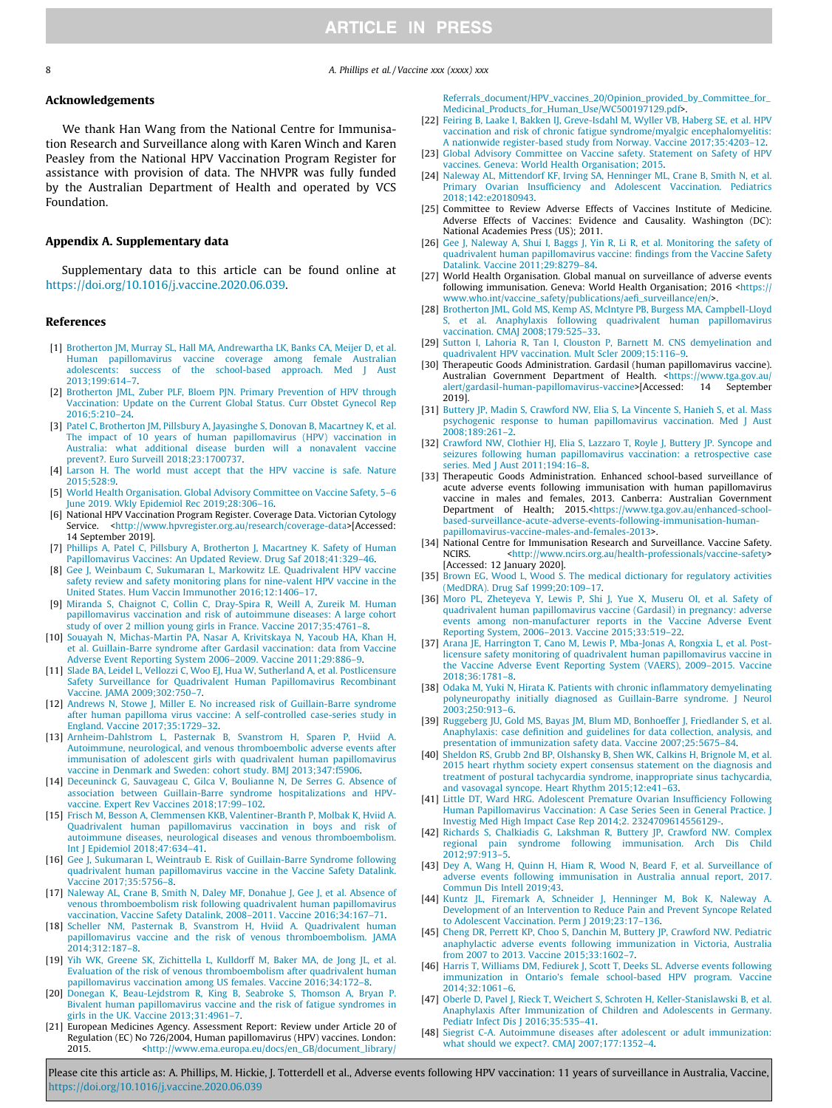<span id="page-7-0"></span>8 **8** A. Phillips et al. / Vaccine xxx (xxxx) xxx

## Acknowledgements

We thank Han Wang from the National Centre for Immunisation Research and Surveillance along with Karen Winch and Karen Peasley from the National HPV Vaccination Program Register for assistance with provision of data. The NHVPR was fully funded by the Australian Department of Health and operated by VCS Foundation.

## Appendix A. Supplementary data

Supplementary data to this article can be found online at <https://doi.org/10.1016/j.vaccine.2020.06.039>.

#### References

- [1] [Brotherton JM, Murray SL, Hall MA, Andrewartha LK, Banks CA, Meijer D, et al.](http://refhub.elsevier.com/S0264-410X(20)30825-2/h0005) [Human papillomavirus vaccine coverage among female Australian](http://refhub.elsevier.com/S0264-410X(20)30825-2/h0005) [adolescents: success of the school-based approach. Med J Aust](http://refhub.elsevier.com/S0264-410X(20)30825-2/h0005) [2013;199:614–7](http://refhub.elsevier.com/S0264-410X(20)30825-2/h0005).
- [2] Brotherton JML, Zuber PLF, Bloem PJN, Primary Prevention of HPV through [Vaccination: Update on the Current Global Status. Curr Obstet Gynecol Rep](http://refhub.elsevier.com/S0264-410X(20)30825-2/h0010)  $2016:5:210-24$
- [3] [Patel C, Brotherton JM, Pillsbury A, Jayasinghe S, Donovan B, Macartney K, et al.](http://refhub.elsevier.com/S0264-410X(20)30825-2/h0015) [The impact of 10 years of human papillomavirus \(HPV\) vaccination in](http://refhub.elsevier.com/S0264-410X(20)30825-2/h0015) [Australia: what additional disease burden will a nonavalent vaccine](http://refhub.elsevier.com/S0264-410X(20)30825-2/h0015) [prevent?. Euro Surveill 2018;23:1700737](http://refhub.elsevier.com/S0264-410X(20)30825-2/h0015).
- [4] [Larson H. The world must accept that the HPV vaccine is safe. Nature](http://refhub.elsevier.com/S0264-410X(20)30825-2/h0020) [2015;528:9.](http://refhub.elsevier.com/S0264-410X(20)30825-2/h0020)
- [5] [World Health Organisation. Global Advisory Committee on Vaccine Safety, 5–6](http://refhub.elsevier.com/S0264-410X(20)30825-2/h0025) [June 2019. Wkly Epidemiol Rec 2019;28:306–16.](http://refhub.elsevier.com/S0264-410X(20)30825-2/h0025)
- [6] National HPV Vaccination Program Register. Coverage Data. Victorian Cytology Service. <<http://www.hpvregister.org.au/research/coverage-data>>[Accessed: 14 September 2019].
- [7] [Phillips A, Patel C, Pillsbury A, Brotherton J, Macartney K. Safety of Human](http://refhub.elsevier.com/S0264-410X(20)30825-2/h0035) [Papillomavirus Vaccines: An Updated Review. Drug Saf 2018;41:329–46.](http://refhub.elsevier.com/S0264-410X(20)30825-2/h0035)
- [8] [Gee J, Weinbaum C, Sukumaran L, Markowitz LE. Quadrivalent HPV vaccine](http://refhub.elsevier.com/S0264-410X(20)30825-2/h0040) [safety review and safety monitoring plans for nine-valent HPV vaccine in the](http://refhub.elsevier.com/S0264-410X(20)30825-2/h0040) [United States. Hum Vaccin Immunother 2016;12:1406–17.](http://refhub.elsevier.com/S0264-410X(20)30825-2/h0040)
- [9] [Miranda S, Chaignot C, Collin C, Dray-Spira R, Weill A, Zureik M. Human](http://refhub.elsevier.com/S0264-410X(20)30825-2/h0045) [papillomavirus vaccination and risk of autoimmune diseases: A large cohort](http://refhub.elsevier.com/S0264-410X(20)30825-2/h0045) [study of over 2 million young girls in France. Vaccine 2017;35:4761–8](http://refhub.elsevier.com/S0264-410X(20)30825-2/h0045).
- [10] [Souayah N, Michas-Martin PA, Nasar A, Krivitskaya N, Yacoub HA, Khan H,](http://refhub.elsevier.com/S0264-410X(20)30825-2/h0050) [et al. Guillain-Barre syndrome after Gardasil vaccination: data from Vaccine](http://refhub.elsevier.com/S0264-410X(20)30825-2/h0050) [Adverse Event Reporting System 2006–2009. Vaccine 2011;29:886–9](http://refhub.elsevier.com/S0264-410X(20)30825-2/h0050).
- [11] [Slade BA, Leidel L, Vellozzi C, Woo EJ, Hua W, Sutherland A, et al. Postlicensure](http://refhub.elsevier.com/S0264-410X(20)30825-2/h0055) [Safety Surveillance for Quadrivalent Human Papillomavirus Recombinant](http://refhub.elsevier.com/S0264-410X(20)30825-2/h0055) [Vaccine. JAMA 2009;302:750–7](http://refhub.elsevier.com/S0264-410X(20)30825-2/h0055).
- [12] [Andrews N, Stowe J, Miller E. No increased risk of Guillain-Barre syndrome](http://refhub.elsevier.com/S0264-410X(20)30825-2/h0060) [after human papilloma virus vaccine: A self-controlled case-series study in](http://refhub.elsevier.com/S0264-410X(20)30825-2/h0060) [England. Vaccine 2017;35:1729–32](http://refhub.elsevier.com/S0264-410X(20)30825-2/h0060).
- [13] [Arnheim-Dahlstrom L, Pasternak B, Svanstrom H, Sparen P, Hviid A.](http://refhub.elsevier.com/S0264-410X(20)30825-2/h0065) [Autoimmune, neurological, and venous thromboembolic adverse events after](http://refhub.elsevier.com/S0264-410X(20)30825-2/h0065) [immunisation of adolescent girls with quadrivalent human papillomavirus](http://refhub.elsevier.com/S0264-410X(20)30825-2/h0065) [vaccine in Denmark and Sweden: cohort study. BMJ 2013;347:f5906.](http://refhub.elsevier.com/S0264-410X(20)30825-2/h0065)
- [14] [Deceuninck G, Sauvageau C, Gilca V, Boulianne N, De Serres G. Absence of](http://refhub.elsevier.com/S0264-410X(20)30825-2/h0070) [association between Guillain-Barre syndrome hospitalizations and HPV](http://refhub.elsevier.com/S0264-410X(20)30825-2/h0070)[vaccine. Expert Rev Vaccines 2018;17:99–102](http://refhub.elsevier.com/S0264-410X(20)30825-2/h0070).
- [15] [Frisch M, Besson A, Clemmensen KKB, Valentiner-Branth P, Molbak K, Hviid A.](http://refhub.elsevier.com/S0264-410X(20)30825-2/h0075) [Quadrivalent human papillomavirus vaccination in boys and risk of](http://refhub.elsevier.com/S0264-410X(20)30825-2/h0075) [autoimmune diseases, neurological diseases and venous thromboembolism.](http://refhub.elsevier.com/S0264-410X(20)30825-2/h0075) [Int J Epidemiol 2018;47:634–41](http://refhub.elsevier.com/S0264-410X(20)30825-2/h0075).
- [16] [Gee J, Sukumaran L, Weintraub E. Risk of Guillain-Barre Syndrome following](http://refhub.elsevier.com/S0264-410X(20)30825-2/h0080) [quadrivalent human papillomavirus vaccine in the Vaccine Safety Datalink.](http://refhub.elsevier.com/S0264-410X(20)30825-2/h0080) [Vaccine 2017;35:5756–8](http://refhub.elsevier.com/S0264-410X(20)30825-2/h0080).
- [17] [Naleway AL, Crane B, Smith N, Daley MF, Donahue J, Gee J, et al. Absence of](http://refhub.elsevier.com/S0264-410X(20)30825-2/h0085) [venous thromboembolism risk following quadrivalent human papillomavirus](http://refhub.elsevier.com/S0264-410X(20)30825-2/h0085) [vaccination, Vaccine Safety Datalink, 2008–2011. Vaccine 2016;34:167–71.](http://refhub.elsevier.com/S0264-410X(20)30825-2/h0085)
- [18] [Scheller NM, Pasternak B, Svanstrom H, Hviid A. Quadrivalent human](http://refhub.elsevier.com/S0264-410X(20)30825-2/h0090) [papillomavirus vaccine and the risk of venous thromboembolism. JAMA](http://refhub.elsevier.com/S0264-410X(20)30825-2/h0090) [2014;312:187–8.](http://refhub.elsevier.com/S0264-410X(20)30825-2/h0090)
- [19] [Yih WK, Greene SK, Zichittella L, Kulldorff M, Baker MA, de Jong JL, et al.](http://refhub.elsevier.com/S0264-410X(20)30825-2/h0095) [Evaluation of the risk of venous thromboembolism after quadrivalent human](http://refhub.elsevier.com/S0264-410X(20)30825-2/h0095) [papillomavirus vaccination among US females. Vaccine 2016;34:172–8.](http://refhub.elsevier.com/S0264-410X(20)30825-2/h0095)
- [20] [Donegan K, Beau-Lejdstrom R, King B, Seabroke S, Thomson A, Bryan P.](http://refhub.elsevier.com/S0264-410X(20)30825-2/h0100) [Bivalent human papillomavirus vaccine and the risk of fatigue syndromes in](http://refhub.elsevier.com/S0264-410X(20)30825-2/h0100) [girls in the UK. Vaccine 2013;31:4961–7.](http://refhub.elsevier.com/S0264-410X(20)30825-2/h0100)
- [21] European Medicines Agency. Assessment Report: Review under Article 20 of Regulation (EC) No 726/2004, Human papillomavirus (HPV) vaccines. London: 2015. [<http://www.ema.europa.eu/docs/en\\_GB/document\\_library/](http://www.ema.europa.eu/docs/en_GB/document_library/Referrals_document/HPV_vaccines_20/Opinion_provided_by_Committee_for_Medicinal_Products_for_Human_Use/WC500197129.pdf)

[Referrals\\_document/HPV\\_vaccines\\_20/Opinion\\_provided\\_by\\_Committee\\_for\\_](http://www.ema.europa.eu/docs/en_GB/document_library/Referrals_document/HPV_vaccines_20/Opinion_provided_by_Committee_for_Medicinal_Products_for_Human_Use/WC500197129.pdf) [Medicinal\\_Products\\_for\\_Human\\_Use/WC500197129.pdf](http://www.ema.europa.eu/docs/en_GB/document_library/Referrals_document/HPV_vaccines_20/Opinion_provided_by_Committee_for_Medicinal_Products_for_Human_Use/WC500197129.pdf)>.

- [22] [Feiring B, Laake I, Bakken IJ, Greve-Isdahl M, Wyller VB, Haberg SE, et al. HPV](http://refhub.elsevier.com/S0264-410X(20)30825-2/h0110) [vaccination and risk of chronic fatigue syndrome/myalgic encephalomyelitis:](http://refhub.elsevier.com/S0264-410X(20)30825-2/h0110) [A nationwide register-based study from Norway. Vaccine 2017;35:4203–12](http://refhub.elsevier.com/S0264-410X(20)30825-2/h0110).
- [23] [Global Advisory Committee on Vaccine safety. Statement on Safety of HPV](http://refhub.elsevier.com/S0264-410X(20)30825-2/h0115) [vaccines. Geneva: World Health Organisation; 2015.](http://refhub.elsevier.com/S0264-410X(20)30825-2/h0115)
- [24] [Naleway AL, Mittendorf KF, Irving SA, Henninger ML, Crane B, Smith N, et al.](http://refhub.elsevier.com/S0264-410X(20)30825-2/h0120) [Primary Ovarian Insufficiency and Adolescent Vaccination. Pediatrics](http://refhub.elsevier.com/S0264-410X(20)30825-2/h0120) [2018;142:e20180943](http://refhub.elsevier.com/S0264-410X(20)30825-2/h0120).
- [25] Committee to Review Adverse Effects of Vaccines Institute of Medicine. Adverse Effects of Vaccines: Evidence and Causality. Washington (DC): National Academies Press (US); 2011.
- [26] [Gee J, Naleway A, Shui I, Baggs J, Yin R, Li R, et al. Monitoring the safety of](http://refhub.elsevier.com/S0264-410X(20)30825-2/h0130) [quadrivalent human papillomavirus vaccine: findings from the Vaccine Safety](http://refhub.elsevier.com/S0264-410X(20)30825-2/h0130) [Datalink. Vaccine 2011;29:8279–84](http://refhub.elsevier.com/S0264-410X(20)30825-2/h0130).
- [27] World Health Organisation. Global manual on surveillance of adverse events following immunisation. Geneva: World Health Organisation; 2016 [<https://](https://www.who.int/vaccine_safety/publications/aefi_surveillance/en/) [www.who.int/vaccine\\_safety/publications/aefi\\_surveillance/en/](https://www.who.int/vaccine_safety/publications/aefi_surveillance/en/)>.
- [28] [Brotherton JML, Gold MS, Kemp AS, McIntyre PB, Burgess MA, Campbell-Lloyd](http://refhub.elsevier.com/S0264-410X(20)30825-2/h0140) [S, et al. Anaphylaxis following quadrivalent human papillomavirus](http://refhub.elsevier.com/S0264-410X(20)30825-2/h0140) [vaccination. CMAJ 2008;179:525–33](http://refhub.elsevier.com/S0264-410X(20)30825-2/h0140).
- [29] [Sutton I, Lahoria R, Tan I, Clouston P, Barnett M. CNS demyelination and](http://refhub.elsevier.com/S0264-410X(20)30825-2/h0145) [quadrivalent HPV vaccination. Mult Scler 2009;15:116–9](http://refhub.elsevier.com/S0264-410X(20)30825-2/h0145).
- [30] Therapeutic Goods Administration. Gardasil (human papillomavirus vaccine). Australian Government Department of Health. <[https://www.tga.gov.au/](https://www.tga.gov.au/alert/gardasil-human-papillomavirus-vaccine) [alert/gardasil-human-papillomavirus-vaccine](https://www.tga.gov.au/alert/gardasil-human-papillomavirus-vaccine)>[Accessed: 14 September 2019].
- [31] [Buttery JP, Madin S, Crawford NW, Elia S, La Vincente S, Hanieh S, et al. Mass](http://refhub.elsevier.com/S0264-410X(20)30825-2/h0155) [psychogenic response to human papillomavirus vaccination. Med J Aust](http://refhub.elsevier.com/S0264-410X(20)30825-2/h0155) [2008;189:261–2.](http://refhub.elsevier.com/S0264-410X(20)30825-2/h0155)
- [32] [Crawford NW, Clothier HJ, Elia S, Lazzaro T, Royle J, Buttery JP. Syncope and](http://refhub.elsevier.com/S0264-410X(20)30825-2/h0160) [seizures following human papillomavirus vaccination: a retrospective case](http://refhub.elsevier.com/S0264-410X(20)30825-2/h0160) [series. Med J Aust 2011;194:16–8](http://refhub.elsevier.com/S0264-410X(20)30825-2/h0160).
- [33] Therapeutic Goods Administration. Enhanced school-based surveillance of acute adverse events following immunisation with human papillomavirus vaccine in males and females, 2013. Canberra: Australian Government Department of Health; 2015.<[https://www.tga.gov.au/enhanced-school](https://www.tga.gov.au/enhanced-school-based-surveillance-acute-adverse-events-following-immunisation-human-papillomavirus-vaccine-males-and-females-2013)[based-surveillance-acute-adverse-events-following-immunisation-human](https://www.tga.gov.au/enhanced-school-based-surveillance-acute-adverse-events-following-immunisation-human-papillomavirus-vaccine-males-and-females-2013)[papillomavirus-vaccine-males-and-females-2013](https://www.tga.gov.au/enhanced-school-based-surveillance-acute-adverse-events-following-immunisation-human-papillomavirus-vaccine-males-and-females-2013)>.
- [34] National Centre for Immunisation Research and Surveillance. Vaccine Safety.<br>NGIRS. <http://www.ncirs.org.au/health-professionals/vaccine-safety> NCIRS. <<http://www.ncirs.org.au/health-professionals/vaccine-safety>> [Accessed: 12 January 2020].
- [35] [Brown EG, Wood L, Wood S. The medical dictionary for regulatory activities](http://refhub.elsevier.com/S0264-410X(20)30825-2/h0175) [\(MedDRA\). Drug Saf 1999;20:109–17.](http://refhub.elsevier.com/S0264-410X(20)30825-2/h0175)
- [36] [Moro PL, Zheteyeva Y, Lewis P, Shi J, Yue X, Museru OI, et al. Safety of](http://refhub.elsevier.com/S0264-410X(20)30825-2/h0180) [quadrivalent human papillomavirus vaccine \(Gardasil\) in pregnancy: adverse](http://refhub.elsevier.com/S0264-410X(20)30825-2/h0180) [events among non-manufacturer reports in the Vaccine Adverse Event](http://refhub.elsevier.com/S0264-410X(20)30825-2/h0180) [Reporting System, 2006–2013. Vaccine 2015;33:519–22](http://refhub.elsevier.com/S0264-410X(20)30825-2/h0180).
- [37] [Arana JE, Harrington T, Cano M, Lewis P, Mba-Jonas A, Rongxia L, et al. Post](http://refhub.elsevier.com/S0264-410X(20)30825-2/h0185)[licensure safety monitoring of quadrivalent human papillomavirus vaccine in](http://refhub.elsevier.com/S0264-410X(20)30825-2/h0185) [the Vaccine Adverse Event Reporting System \(VAERS\), 2009–2015. Vaccine](http://refhub.elsevier.com/S0264-410X(20)30825-2/h0185) [2018;36:1781–8.](http://refhub.elsevier.com/S0264-410X(20)30825-2/h0185)
- [38] [Odaka M, Yuki N, Hirata K. Patients with chronic inflammatory demyelinating](http://refhub.elsevier.com/S0264-410X(20)30825-2/h0190) [polyneuropathy initially diagnosed as Guillain-Barre syndrome. J Neurol](http://refhub.elsevier.com/S0264-410X(20)30825-2/h0190) [2003;250:913–6.](http://refhub.elsevier.com/S0264-410X(20)30825-2/h0190)
- [39] [Ruggeberg JU, Gold MS, Bayas JM, Blum MD, Bonhoeffer J, Friedlander S, et al.](http://refhub.elsevier.com/S0264-410X(20)30825-2/h0195) [Anaphylaxis: case definition and guidelines for data collection, analysis, and](http://refhub.elsevier.com/S0264-410X(20)30825-2/h0195) [presentation of immunization safety data. Vaccine 2007;25:5675–84](http://refhub.elsevier.com/S0264-410X(20)30825-2/h0195).
- [40] [Sheldon RS, Grubb 2nd BP, Olshansky B, Shen WK, Calkins H, Brignole M, et al.](http://refhub.elsevier.com/S0264-410X(20)30825-2/h0200) [2015 heart rhythm society expert consensus statement on the diagnosis and](http://refhub.elsevier.com/S0264-410X(20)30825-2/h0200) [treatment of postural tachycardia syndrome, inappropriate sinus tachycardia,](http://refhub.elsevier.com/S0264-410X(20)30825-2/h0200) [and vasovagal syncope. Heart Rhythm 2015;12:e41–63.](http://refhub.elsevier.com/S0264-410X(20)30825-2/h0200)
- [41] [Little DT, Ward HRG. Adolescent Premature Ovarian Insufficiency Following](http://refhub.elsevier.com/S0264-410X(20)30825-2/h0205) [Human Papillomavirus Vaccination: A Case Series Seen in General Practice. J](http://refhub.elsevier.com/S0264-410X(20)30825-2/h0205) [Investig Med High Impact Case Rep 2014;2. 2324709614556129-](http://refhub.elsevier.com/S0264-410X(20)30825-2/h0205)
- [42] [Richards S, Chalkiadis G, Lakshman R, Buttery JP, Crawford NW. Complex](http://refhub.elsevier.com/S0264-410X(20)30825-2/h0210) [regional pain syndrome following immunisation. Arch Dis Child](http://refhub.elsevier.com/S0264-410X(20)30825-2/h0210) [2012;97:913–5.](http://refhub.elsevier.com/S0264-410X(20)30825-2/h0210)
- [43] [Dey A, Wang H, Quinn H, Hiam R, Wood N, Beard F, et al. Surveillance of](http://refhub.elsevier.com/S0264-410X(20)30825-2/h0215) [adverse events following immunisation in Australia annual report, 2017.](http://refhub.elsevier.com/S0264-410X(20)30825-2/h0215) [Commun Dis Intell 2019;43.](http://refhub.elsevier.com/S0264-410X(20)30825-2/h0215)
- [44] [Kuntz JL, Firemark A, Schneider J, Henninger M, Bok K, Naleway A.](http://refhub.elsevier.com/S0264-410X(20)30825-2/h0220) [Development of an Intervention to Reduce Pain and Prevent Syncope Related](http://refhub.elsevier.com/S0264-410X(20)30825-2/h0220) [to Adolescent Vaccination. Perm J 2019;23:17–136](http://refhub.elsevier.com/S0264-410X(20)30825-2/h0220).
- [45] [Cheng DR, Perrett KP, Choo S, Danchin M, Buttery JP, Crawford NW. Pediatric](http://refhub.elsevier.com/S0264-410X(20)30825-2/h0225) [anaphylactic adverse events following immunization in Victoria, Australia](http://refhub.elsevier.com/S0264-410X(20)30825-2/h0225) [from 2007 to 2013. Vaccine 2015;33:1602–7](http://refhub.elsevier.com/S0264-410X(20)30825-2/h0225).
- [46] [Harris T, Williams DM, Fediurek J, Scott T, Deeks SL. Adverse events following](http://refhub.elsevier.com/S0264-410X(20)30825-2/h0230) [immunization in Ontario's female school-based HPV program. Vaccine](http://refhub.elsevier.com/S0264-410X(20)30825-2/h0230) [2014;32:1061–6.](http://refhub.elsevier.com/S0264-410X(20)30825-2/h0230)
- [47] [Oberle D, Pavel J, Rieck T, Weichert S, Schroten H, Keller-Stanislawski B, et al.](http://refhub.elsevier.com/S0264-410X(20)30825-2/h0235) [Anaphylaxis After Immunization of Children and Adolescents in Germany.](http://refhub.elsevier.com/S0264-410X(20)30825-2/h0235) [Pediatr Infect Dis J 2016;35:535–41.](http://refhub.elsevier.com/S0264-410X(20)30825-2/h0235)
- [48] [Siegrist C-A. Autoimmune diseases after adolescent or adult immunization:](http://refhub.elsevier.com/S0264-410X(20)30825-2/h0240) [what should we expect?. CMAJ 2007;177:1352–4](http://refhub.elsevier.com/S0264-410X(20)30825-2/h0240).